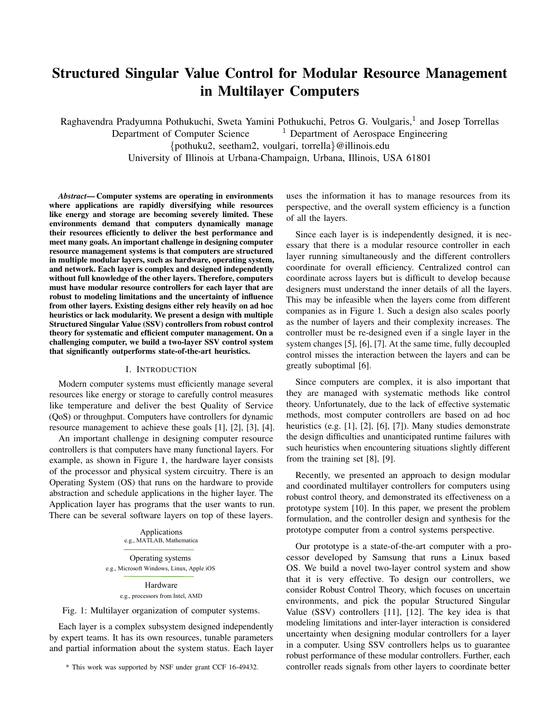# **Structured Singular Value Control for Modular Resource Management** in Multilayer Computers

Raghavendra Pradyumna Pothukuchi, Sweta Yamini Pothukuchi, Petros G. Voulgaris,<sup>1</sup> and Josep Torrellas <sup>1</sup> Department of Aerospace Engineering Department of Computer Science {pothuku2, seetham2, voulgari, torrella}@illinois.edu University of Illinois at Urbana-Champaign, Urbana, Illinois, USA 61801

**Abstract—Computer systems are operating in environments** where applications are rapidly diversifying while resources like energy and storage are becoming severely limited. These environments demand that computers dynamically manage their resources efficiently to deliver the best performance and meet many goals. An important challenge in designing computer resource management systems is that computers are structured in multiple modular layers, such as hardware, operating system, and network. Each layer is complex and designed independently without full knowledge of the other layers. Therefore, computers must have modular resource controllers for each layer that are robust to modeling limitations and the uncertainty of influence from other layers. Existing designs either rely heavily on ad hoc heuristics or lack modularity. We present a design with multiple Structured Singular Value (SSV) controllers from robust control theory for systematic and efficient computer management. On a challenging computer, we build a two-layer SSV control system that significantly outperforms state-of-the-art heuristics.

#### I. INTRODUCTION

Modern computer systems must efficiently manage several resources like energy or storage to carefully control measures like temperature and deliver the best Quality of Service (QoS) or throughput. Computers have controllers for dynamic resource management to achieve these goals [1], [2], [3], [4].

An important challenge in designing computer resource controllers is that computers have many functional layers. For example, as shown in Figure 1, the hardware layer consists of the processor and physical system circuitry. There is an Operating System (OS) that runs on the hardware to provide abstraction and schedule applications in the higher layer. The Application layer has programs that the user wants to run. There can be several software layers on top of these layers.

> Applications e.g., MATLAB, Mathematica Operating systems e.g., Microsoft Windows, Linux, Apple iOS

> > Hardware e.g., processors from Intel, AMD

#### Fig. 1: Multilayer organization of computer systems.

Each layer is a complex subsystem designed independently by expert teams. It has its own resources, tunable parameters and partial information about the system status. Each layer uses the information it has to manage resources from its perspective, and the overall system efficiency is a function of all the layers.

Since each layer is is independently designed, it is necessary that there is a modular resource controller in each layer running simultaneously and the different controllers coordinate for overall efficiency. Centralized control can coordinate across layers but is difficult to develop because designers must understand the inner details of all the layers. This may be infeasible when the layers come from different companies as in Figure 1. Such a design also scales poorly as the number of layers and their complexity increases. The controller must be re-designed even if a single layer in the system changes [5], [6], [7]. At the same time, fully decoupled control misses the interaction between the layers and can be greatly suboptimal [6].

Since computers are complex, it is also important that they are managed with systematic methods like control theory. Unfortunately, due to the lack of effective systematic methods, most computer controllers are based on ad hoc heuristics (e.g. [1], [2], [6], [7]). Many studies demonstrate the design difficulties and unanticipated runtime failures with such heuristics when encountering situations slightly different from the training set  $[8]$ ,  $[9]$ .

Recently, we presented an approach to design modular and coordinated multilayer controllers for computers using robust control theory, and demonstrated its effectiveness on a prototype system [10]. In this paper, we present the problem formulation, and the controller design and synthesis for the prototype computer from a control systems perspective.

Our prototype is a state-of-the-art computer with a processor developed by Samsung that runs a Linux based OS. We build a novel two-layer control system and show that it is very effective. To design our controllers, we consider Robust Control Theory, which focuses on uncertain environments, and pick the popular Structured Singular Value (SSV) controllers [11], [12]. The key idea is that modeling limitations and inter-layer interaction is considered uncertainty when designing modular controllers for a layer in a computer. Using SSV controllers helps us to guarantee robust performance of these modular controllers. Further, each controller reads signals from other layers to coordinate better

<sup>\*</sup> This work was supported by NSF under grant CCF 16-49432.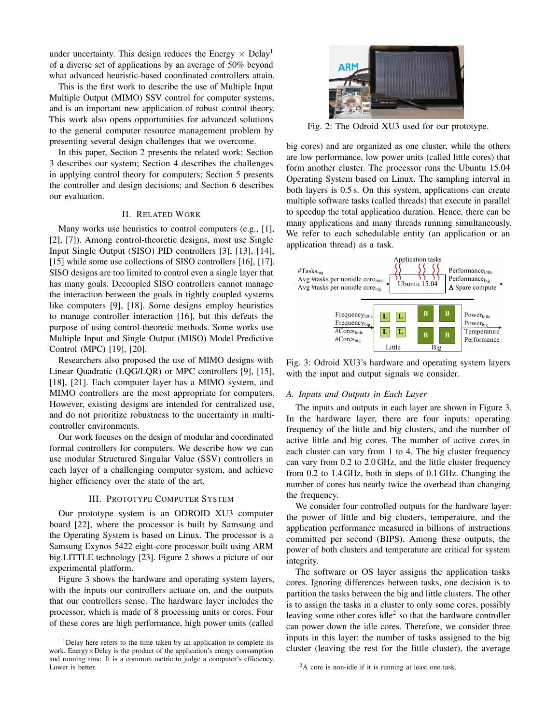under uncertainty. This design reduces the Energy  $\times$  Delay<sup>1</sup> of a diverse set of applications by an average of 50% beyond what advanced heuristic-based coordinated controllers attain.

This is the first work to describe the use of Multiple Input Multiple Output (MIMO) SSV control for computer systems, and is an important new application of robust control theory. This work also opens opportunities for advanced solutions to the general computer resource management problem by presenting several design challenges that we overcome.

In this paper, Section 2 presents the related work; Section 3 describes our system; Section 4 describes the challenges in applying control theory for computers; Section 5 presents the controller and design decisions; and Section 6 describes our evaluation.

#### **II. RELATED WORK**

Many works use heuristics to control computers (e.g.,  $[1]$ , [2], [7]). Among control-theoretic designs, most use Single Input Single Output (SISO) PID controllers [3], [13], [14], [15] while some use collections of SISO controllers [16], [17]. SISO designs are too limited to control even a single layer that has many goals. Decoupled SISO controllers cannot manage the interaction between the goals in tightly coupled systems like computers [9], [18]. Some designs employ heuristics to manage controller interaction [16], but this defeats the purpose of using control-theoretic methods. Some works use Multiple Input and Single Output (MISO) Model Predictive Control (MPC) [19], [20].

Researchers also proposed the use of MIMO designs with Linear Quadratic (LQG/LQR) or MPC controllers [9], [15], [18], [21]. Each computer layer has a MIMO system, and MIMO controllers are the most appropriate for computers. However, existing designs are intended for centralized use, and do not prioritize robustness to the uncertainty in multicontroller environments.

Our work focuses on the design of modular and coordinated formal controllers for computers. We describe how we can use modular Structured Singular Value (SSV) controllers in each layer of a challenging computer system, and achieve higher efficiency over the state of the art.

### **III. PROTOTYPE COMPUTER SYSTEM**

Our prototype system is an ODROID XU3 computer board [22], where the processor is built by Samsung and the Operating System is based on Linux. The processor is a Samsung Exynos 5422 eight-core processor built using ARM big.LITTLE technology [23]. Figure 2 shows a picture of our experimental platform.

Figure 3 shows the hardware and operating system layers, with the inputs our controllers actuate on, and the outputs that our controllers sense. The hardware layer includes the processor, which is made of 8 processing units or cores. Four of these cores are high performance, high power units (called



Fig. 2: The Odroid XU3 used for our prototype.

big cores) and are organized as one cluster, while the others are low performance, low power units (called little cores) that form another cluster. The processor runs the Ubuntu 15.04 Operating System based on Linux. The sampling interval in both layers is 0.5 s. On this system, applications can create multiple software tasks (called threads) that execute in parallel to speedup the total application duration. Hence, there can be many applications and many threads running simultaneously. We refer to each schedulable entity (an application or an application thread) as a task.



Fig. 3: Odroid XU3's hardware and operating system layers with the input and output signals we consider.

# A. Inputs and Outputs in Each Layer

The inputs and outputs in each layer are shown in Figure 3. In the hardware layer, there are four inputs: operating frequency of the little and big clusters, and the number of active little and big cores. The number of active cores in each cluster can vary from 1 to 4. The big cluster frequency can vary from 0.2 to 2.0 GHz, and the little cluster frequency from 0.2 to 1.4 GHz, both in steps of 0.1 GHz. Changing the number of cores has nearly twice the overhead than changing the frequency.

We consider four controlled outputs for the hardware layer: the power of little and big clusters, temperature, and the application performance measured in billions of instructions committed per second (BIPS). Among these outputs, the power of both clusters and temperature are critical for system integrity.

The software or OS layer assigns the application tasks cores. Ignoring differences between tasks, one decision is to partition the tasks between the big and little clusters. The other is to assign the tasks in a cluster to only some cores, possibly leaving some other cores idle<sup>2</sup> so that the hardware controller can power down the idle cores. Therefore, we consider three inputs in this layer: the number of tasks assigned to the big cluster (leaving the rest for the little cluster), the average

<sup>&</sup>lt;sup>1</sup>Delay here refers to the time taken by an application to complete its work. Energy $\times$ Delay is the product of the application's energy consumption and running time. It is a common metric to judge a computer's efficiency. Lower is better.

 ${}^{2}$ A core is non-idle if it is running at least one task.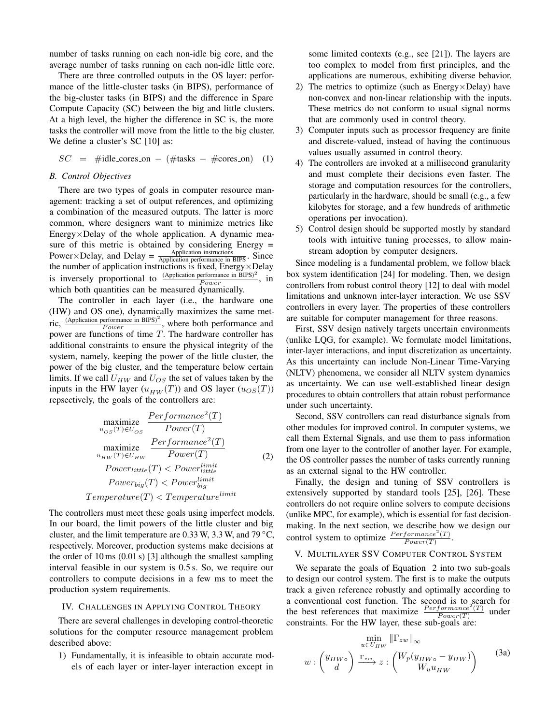number of tasks running on each non-idle big core, and the average number of tasks running on each non-idle little core.

There are three controlled outputs in the OS layer: performance of the little-cluster tasks (in BIPS), performance of the big-cluster tasks (in BIPS) and the difference in Spare Compute Capacity (SC) between the big and little clusters. At a high level, the higher the difference in SC is, the more tasks the controller will move from the little to the big cluster. We define a cluster's SC [10] as:

$$
SC = #idle\_cores\_on - (\#tasks - \#cores\_on) \quad (1)
$$

# **B.** Control Objectives

There are two types of goals in computer resource management: tracking a set of output references, and optimizing a combination of the measured outputs. The latter is more common, where designers want to minimize metrics like Energy $\times$ Delay of the whole application. A dynamic measure of this metric is obtained by considering Energy  $=$ Power×Delay, and Delay =  $\frac{\text{Application instructions}}{\text{Application performance in BIPS}}$ . Since the number of application instructions is fixed, Energy×Delay is inversely proportional to  $\frac{\text{(Application performance in BIPS)}^2}{\text{Power}}, \text{ in}$ Power which both quantities can be measured dynamically.

The controller in each layer (i.e., the hardware one (HW) and OS one), dynamically maximizes the same metric,  $\frac{(Application performance in BIPS)^2}{Power}$ , where both performance and power are functions of time  $T$ . The hardware controller has additional constraints to ensure the physical integrity of the system, namely, keeping the power of the little cluster, the power of the big cluster, and the temperature below certain limits. If we call  $U_{HW}$  and  $U_{OS}$  the set of values taken by the inputs in the HW layer  $(u_{HW}(T))$  and OS layer  $(u_{OS}(T))$ repsectively, the goals of the controllers are:

$$
\begin{array}{ll}\n\text{maximize} & \frac{Performance^2(T)}{Power(T)} \\
\text{maximize} & Power(T) \\
\text{maximize} & \frac{Performance^2(T)}{Power(T)} \\
\text{maximize} & Power(T) \\
\text{Power}_{\text{little}}(T) < Power_{\text{little}} \\
\text{Power}_{\text{big}}(T) < Power_{\text{big}} \\
\text{Temperature}(T) < Temperature^{\text{limit}} \\
\end{array} \tag{2}
$$

The controllers must meet these goals using imperfect models. In our board, the limit powers of the little cluster and big cluster, and the limit temperature are 0.33 W, 3.3 W, and 79 °C, respectively. Moreover, production systems make decisions at the order of  $10 \text{ ms } (0.01 \text{ s})$  [3] although the smallest sampling interval feasible in our system is 0.5 s. So, we require our controllers to compute decisions in a few ms to meet the production system requirements.

# IV. CHALLENGES IN APPLYING CONTROL THEORY

There are several challenges in developing control-theoretic solutions for the computer resource management problem described above:

1) Fundamentally, it is infeasible to obtain accurate models of each layer or inter-layer interaction except in

some limited contexts (e.g., see [21]). The layers are too complex to model from first principles, and the applications are numerous, exhibiting diverse behavior.

- 2) The metrics to optimize (such as  $Energy \times Delay$ ) have non-convex and non-linear relationship with the inputs. These metrics do not conform to usual signal norms that are commonly used in control theory.
- 3) Computer inputs such as processor frequency are finite and discrete-valued, instead of having the continuous values usually assumed in control theory.
- 4) The controllers are invoked at a millisecond granularity and must complete their decisions even faster. The storage and computation resources for the controllers, particularly in the hardware, should be small (e.g., a few kilobytes for storage, and a few hundreds of arithmetic operations per invocation).
- 5) Control design should be supported mostly by standard tools with intuitive tuning processes, to allow mainstream adoption by computer designers.

Since modeling is a fundamental problem, we follow black box system identification [24] for modeling. Then, we design controllers from robust control theory [12] to deal with model limitations and unknown inter-layer interaction. We use SSV controllers in every layer. The properties of these controllers are suitable for computer management for three reasons.

First, SSV design natively targets uncertain environments (unlike LQG, for example). We formulate model limitations, inter-layer interactions, and input discretization as uncertainty. As this uncertainty can include Non-Linear Time-Varying (NLTV) phenomena, we consider all NLTV system dynamics as uncertainty. We can use well-established linear design procedures to obtain controllers that attain robust performance under such uncertainty.

Second, SSV controllers can read disturbance signals from other modules for improved control. In computer systems, we call them External Signals, and use them to pass information from one layer to the controller of another layer. For example, the OS controller passes the number of tasks currently running as an external signal to the HW controller.

Finally, the design and tuning of SSV controllers is extensively supported by standard tools [25], [26]. These controllers do not require online solvers to compute decisions (unlike MPC, for example), which is essential for fast decisionmaking. In the next section, we describe how we design our control system to optimize  $\frac{Performance^2(T)}{Power(T)}$ .

# V. MULTILAYER SSV COMPUTER CONTROL SYSTEM

We separate the goals of Equation 2 into two sub-goals to design our control system. The first is to make the outputs track a given reference robustly and optimally according to a conventional cost function. The second is to search for the best references that maximize  $\frac{Performed \cdot \text{C}(T)}{Power(T)}$  under constraints. For the HW layer, these sub-goals are:

 $\sim$ 

$$
\min_{u \in U_{HW}} \|\Gamma_{zw}\|_{\infty}
$$
\n
$$
w: \begin{pmatrix} y_{HW} \\ d \end{pmatrix} \xrightarrow{\Gamma_{zw}} z: \begin{pmatrix} W_p(y_{HW_0} - y_{HW}) \\ W_u u_{HW} \end{pmatrix} \tag{3a}
$$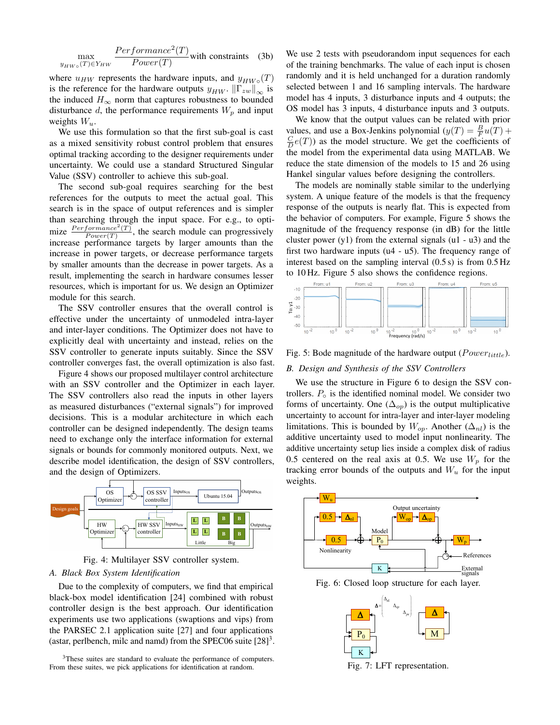$$
\max_{y_{HW\circ}(T)\in Y_{HW}}\frac{Performance^2(T)}{Power(T)}
$$
 with constraints (3b)

where  $u_{HW}$  represents the hardware inputs, and  $y_{HW\circ}(T)$ is the reference for the hardware outputs  $y_{HW}$ .  $\|\Gamma_{zw}\|_{\infty}$  is the induced  $H_{\infty}$  norm that captures robustness to bounded disturbance d, the performance requirements  $W_p$  and input weights  $W_u$ .

We use this formulation so that the first sub-goal is cast as a mixed sensitivity robust control problem that ensures optimal tracking according to the designer requirements under uncertainty. We could use a standard Structured Singular Value (SSV) controller to achieve this sub-goal.

The second sub-goal requires searching for the best references for the outputs to meet the actual goal. This search is in the space of output references and is simpler than searching through the input space. For e.g., to optimize  $\frac{Performance^2(T)}{Power(T)}$ , the search module can progressively increase performance targets by larger amounts than the increase in power targets, or decrease performance targets by smaller amounts than the decrease in power targets. As a result, implementing the search in hardware consumes lesser resources, which is important for us. We design an Optimizer module for this search.

The SSV controller ensures that the overall control is effective under the uncertainty of unmodeled intra-layer and inter-layer conditions. The Optimizer does not have to explicitly deal with uncertainty and instead, relies on the SSV controller to generate inputs suitably. Since the SSV controller converges fast, the overall optimization is also fast.

Figure 4 shows our proposed multilayer control architecture with an SSV controller and the Optimizer in each layer. The SSV controllers also read the inputs in other layers as measured disturbances ("external signals") for improved decisions. This is a modular architecture in which each controller can be designed independently. The design teams need to exchange only the interface information for external signals or bounds for commonly monitored outputs. Next, we describe model identification, the design of SSV controllers, and the design of Optimizers.



Fig. 4: Multilayer SSV controller system.

# A. Black Box System Identification

Due to the complexity of computers, we find that empirical black-box model identification [24] combined with robust controller design is the best approach. Our identification experiments use two applications (swaptions and vips) from the PARSEC 2.1 application suite [27] and four applications (astar, perlbench, milc and namd) from the SPEC06 suite  $[28]$ <sup>3</sup>.

<sup>3</sup>These suites are standard to evaluate the performance of computers. From these suites, we pick applications for identification at random.

We use 2 tests with pseudorandom input sequences for each of the training benchmarks. The value of each input is chosen randomly and it is held unchanged for a duration randomly selected between 1 and 16 sampling intervals. The hardware model has 4 inputs, 3 disturbance inputs and 4 outputs; the OS model has 3 inputs, 4 disturbance inputs and 3 outputs.

We know that the output values can be related with prior values, and use a Box-Jenkins polynomial  $(y(T) = \frac{B}{F}u(T) +$  $\frac{C}{D}e(T)$  as the model structure. We get the coefficients of the model from the experimental data using MATLAB. We reduce the state dimension of the models to 15 and 26 using Hankel singular values before designing the controllers.

The models are nominally stable similar to the underlying system. A unique feature of the models is that the frequency response of the outputs is nearly flat. This is expected from the behavior of computers. For example, Figure 5 shows the magnitude of the frequency response (in dB) for the little cluster power  $(y1)$  from the external signals  $(u1 - u3)$  and the first two hardware inputs  $(u4 - u5)$ . The frequency range of interest based on the sampling interval  $(0.5 s)$  is from  $0.5 Hz$ to 10Hz. Figure 5 also shows the confidence regions.



Fig. 5: Bode magnitude of the hardware output ( $Power_{little}$ ).

# B. Design and Synthesis of the SSV Controllers

We use the structure in Figure 6 to design the SSV controllers.  $P_{\circ}$  is the identified nominal model. We consider two forms of uncertainty. One  $(\Delta_{op})$  is the output multiplicative uncertainty to account for intra-layer and inter-layer modeling limitations. This is bounded by  $W_{op}$ . Another  $(\Delta_{nl})$  is the additive uncertainty used to model input nonlinearity. The additive uncertainty setup lies inside a complex disk of radius 0.5 centered on the real axis at 0.5. We use  $W_p$  for the tracking error bounds of the outputs and  $W_u$  for the input weights.



Fig. 6: Closed loop structure for each layer.



Fig. 7: LFT representation.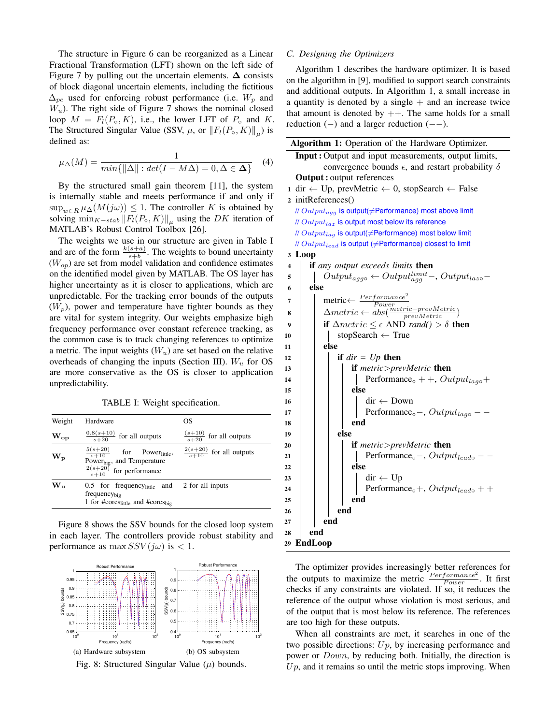The structure in Figure 6 can be reorganized as a Linear Fractional Transformation (LFT) shown on the left side of Figure 7 by pulling out the uncertain elements.  $\Delta$  consists of block diagonal uncertain elements, including the fictitious  $\Delta_{pe}$  used for enforcing robust performance (i.e.  $W_p$  and  $W_u$ ). The right side of Figure 7 shows the nominal closed loop  $M = F_l(P_o, K)$ , i.e., the lower LFT of  $P_o$  and K. The Structured Singular Value (SSV,  $\mu$ , or  $||F_l(P_o, K)||_{\mu}$ ) is defined as:

$$
\mu_{\Delta}(M) = \frac{1}{\min\{\|\Delta\| : \det(I - M\Delta) = 0, \Delta \in \Delta\}} \quad (4)
$$

By the structured small gain theorem [11], the system is internally stable and meets performance if and only if  $\sup_{w \in R} \mu_{\Delta}(M(j\omega)) \leq 1$ . The controller K is obtained by solving  $\min_{K-stab} ||F_l(P_o, K)||_{\mu}$  using the DK iteration of MATLAB's Robust Control Toolbox [26].

The weights we use in our structure are given in Table I and are of the form  $\frac{k(s+a)}{s+b}$ . The weights to bound uncertainty  $(W_{op})$  are set from model validation and confidence estimates on the identified model given by MATLAB. The OS layer has higher uncertainty as it is closer to applications, which are unpredictable. For the tracking error bounds of the outputs  $(W_p)$ , power and temperature have tighter bounds as they are vital for system integrity. Our weights emphasize high frequency performance over constant reference tracking, as the common case is to track changing references to optimize a metric. The input weights  $(W_u)$  are set based on the relative overheads of changing the inputs (Section III).  $W_u$  for OS are more conservative as the OS is closer to application unpredictability.

TABLE I: Weight specification.

| Weight                    | Hardware                                                                                                                               | OS                                     |
|---------------------------|----------------------------------------------------------------------------------------------------------------------------------------|----------------------------------------|
| $W_{op}$                  | $\frac{0.8(s+10)}{s+20}$ for all outputs                                                                                               | $\frac{(s+10)}{s+20}$ for all outputs  |
| $\mathbf{W}_{\mathbf{p}}$ | $\frac{5(s+20)}{s+10}$ for Powerlittle,<br>Power <sub>big</sub> , and Temperature<br>$\frac{2(s+20)}{s+10}$ for performance            | $\frac{2(s+20)}{s+10}$ for all outputs |
| $\bf{W}_{\bf{u}}$         | $0.5$ for frequency <sub>little</sub> and 2 for all inputs<br>frequencybig<br>1 for #cores <sub>little</sub> and #cores <sub>big</sub> |                                        |

Figure 8 shows the SSV bounds for the closed loop system in each layer. The controllers provide robust stability and performance as max  $SSV(j\omega)$  is < 1.





# C. Designing the Optimizers

Algorithm 1 describes the hardware optimizer. It is based on the algorithm in [9], modified to support search constraints and additional outputs. In Algorithm 1, a small increase in a quantity is denoted by a single  $+$  and an increase twice that amount is denoted by  $++$ . The same holds for a small reduction  $(-)$  and a larger reduction  $(--)$ .

| Algorithm 1: Operation of the Hardware Optimizer.                               |  |  |  |  |  |
|---------------------------------------------------------------------------------|--|--|--|--|--|
| Input: Output and input measurements, output limits,                            |  |  |  |  |  |
| convergence bounds $\epsilon$ , and restart probability $\delta$                |  |  |  |  |  |
| <b>Output:</b> output references                                                |  |  |  |  |  |
| 1 dir $\leftarrow$ Up, prevMetric $\leftarrow$ 0, stopSearch $\leftarrow$ False |  |  |  |  |  |
| 2 initReferences()                                                              |  |  |  |  |  |
| // $Output_{agg}$ is output( $\neq$ Performance) most above limit               |  |  |  |  |  |
| // $Output_{laz}$ is output most below its reference                            |  |  |  |  |  |
| // $Output_{lag}$ is output( $\neq$ Performance) most below limit               |  |  |  |  |  |
| // $Output_{lead}$ is output ( $\neq$ Performance) closest to limit             |  |  |  |  |  |
| Loop<br>3                                                                       |  |  |  |  |  |
| if any output exceeds limits then<br>4                                          |  |  |  |  |  |
| $Output_{aggo} \leftarrow Output_{agg}^{limit} -$ , $Output_{laze}$<br>5<br>6   |  |  |  |  |  |
| else                                                                            |  |  |  |  |  |
| $metric \leftarrow \frac{Performance^2}{Power}$<br>7                            |  |  |  |  |  |
| $\Delta metric \leftarrow abs(\frac{metric-prevMetric}{prevMetric})$<br>8       |  |  |  |  |  |
| if $\Delta metric \leq \epsilon$ AND rand() $> \delta$ then<br>9                |  |  |  |  |  |
| stopSearch $\leftarrow$ True<br>10                                              |  |  |  |  |  |
| else<br>11                                                                      |  |  |  |  |  |
| if $dir = Up$ then<br>12                                                        |  |  |  |  |  |
| if metric>prevMetric then<br>13                                                 |  |  |  |  |  |
| Performance <sub>o</sub> + +, $Output_{laq0}$ +<br>14                           |  |  |  |  |  |
| else<br>15                                                                      |  |  |  |  |  |
| $\text{dir} \leftarrow \text{Down}$<br>16                                       |  |  |  |  |  |
| Performance.-, $Output_{laqo}$<br>17<br>end                                     |  |  |  |  |  |
| 18<br>else<br>19                                                                |  |  |  |  |  |
| if metric>prevMetric then<br>20                                                 |  |  |  |  |  |
| Performance <sub>o</sub> -, $Output_{leado}$<br>21                              |  |  |  |  |  |
| else<br>22                                                                      |  |  |  |  |  |
| $\text{dir} \leftarrow \text{Up}$<br>23                                         |  |  |  |  |  |
| Performance <sub>o</sub> +, $Output_{leado}$ ++<br>24                           |  |  |  |  |  |
| end<br>25                                                                       |  |  |  |  |  |
| end<br>26                                                                       |  |  |  |  |  |
| end<br>27                                                                       |  |  |  |  |  |
| end<br>28                                                                       |  |  |  |  |  |
| 29 EndLoop                                                                      |  |  |  |  |  |
|                                                                                 |  |  |  |  |  |

The optimizer provides increasingly better references for the outputs to maximize the metric  $\frac{Performance^2}{Power}$ . It first checks if any constraints are violated. If so, it reduces the reference of the output whose violation is most serious, and of the output that is most below its reference. The references are too high for these outputs.

When all constraints are met, it searches in one of the two possible directions:  $Up$ , by increasing performance and power or *Down*, by reducing both. Initially, the direction is  $Up$ , and it remains so until the metric stops improving. When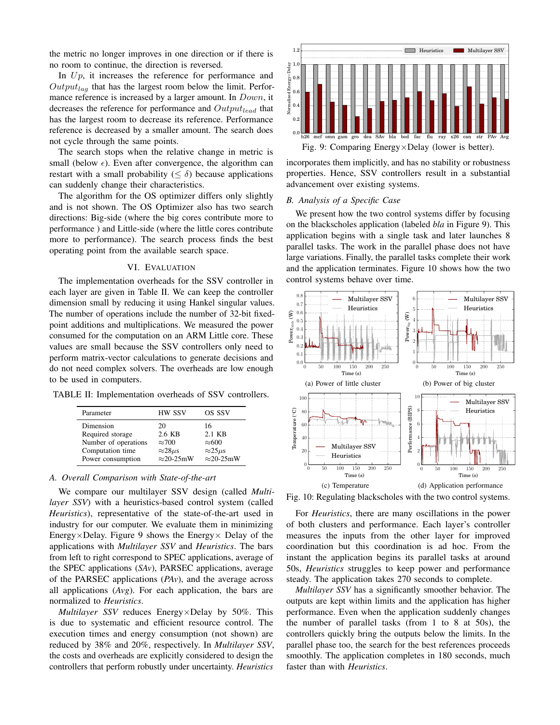the metric no longer improves in one direction or if there is no room to continue, the direction is reversed.

In  $Up$ , it increases the reference for performance and  $Output_{laq}$  that has the largest room below the limit. Performance reference is increased by a larger amount. In Down, it decreases the reference for performance and  $Output_{lead}$  that has the largest room to decrease its reference. Performance reference is decreased by a smaller amount. The search does not cycle through the same points.

The search stops when the relative change in metric is small (below  $\epsilon$ ). Even after convergence, the algorithm can restart with a small probability ( $\leq \delta$ ) because applications can suddenly change their characteristics.

The algorithm for the OS optimizer differs only slightly and is not shown. The OS Optimizer also has two search directions: Big-side (where the big cores contribute more to performance) and Little-side (where the little cores contribute more to performance). The search process finds the best operating point from the available search space.

# VI. EVALUATION

The implementation overheads for the SSV controller in each layer are given in Table II. We can keep the controller dimension small by reducing it using Hankel singular values. The number of operations include the number of 32-bit fixedpoint additions and multiplications. We measured the power consumed for the computation on an ARM Little core. These values are small because the SSV controllers only need to perform matrix-vector calculations to generate decisions and do not need complex solvers. The overheads are low enough to be used in computers.

TABLE II: Implementation overheads of SSV controllers.

| Parameter            | <b>HW SSV</b>      | OS SSV               |
|----------------------|--------------------|----------------------|
| Dimension            | 20                 | 16                   |
| Required storage     | 2.6 KB             | 2.1 KB               |
| Number of operations | $\approx 700$      | $\approx 600$        |
| Computation time     | $\approx 28 \mu s$ | $\approx$ 25 $\mu$ s |
| Power consumption    | $\approx$ 20-25mW  | $\approx$ 20-25mW    |

#### A. Overall Comparison with State-of-the-art

We compare our multilayer SSV design (called *Multi*layer SSV) with a heuristics-based control system (called Heuristics), representative of the state-of-the-art used in industry for our computer. We evaluate them in minimizing Energy  $\times$  Delay. Figure 9 shows the Energy  $\times$  Delay of the applications with *Multilayer SSV* and *Heuristics*. The bars from left to right correspond to SPEC applications, average of the SPEC applications (SAv), PARSEC applications, average of the PARSEC applications (PAv), and the average across all applications  $(Avg)$ . For each application, the bars are normalized to *Heuristics*.

Multilayer SSV reduces Energy×Delay by 50%. This is due to systematic and efficient resource control. The execution times and energy consumption (not shown) are reduced by 38% and 20%, respectively. In *Multilayer SSV*, the costs and overheads are explicitly considered to design the controllers that perform robustly under uncertainty. Heuristics



Fig. 9: Comparing Energy $\times$ Delay (lower is better).

incorporates them implicitly, and has no stability or robustness properties. Hence, SSV controllers result in a substantial advancement over existing systems.

# B. Analysis of a Specific Case

We present how the two control systems differ by focusing on the blackscholes application (labeled *bla* in Figure 9). This application begins with a single task and later launches 8 parallel tasks. The work in the parallel phase does not have large variations. Finally, the parallel tasks complete their work and the application terminates. Figure 10 shows how the two control systems behave over time.



Fig. 10: Regulating blackscholes with the two control systems.

For *Heuristics*, there are many oscillations in the power of both clusters and performance. Each layer's controller measures the inputs from the other layer for improved coordination but this coordination is ad hoc. From the instant the application begins its parallel tasks at around 50s, *Heuristics* struggles to keep power and performance steady. The application takes 270 seconds to complete.

Multilayer SSV has a significantly smoother behavior. The outputs are kept within limits and the application has higher performance. Even when the application suddenly changes the number of parallel tasks (from 1 to 8 at 50s), the controllers quickly bring the outputs below the limits. In the parallel phase too, the search for the best references proceeds smoothly. The application completes in 180 seconds, much faster than with *Heuristics*.